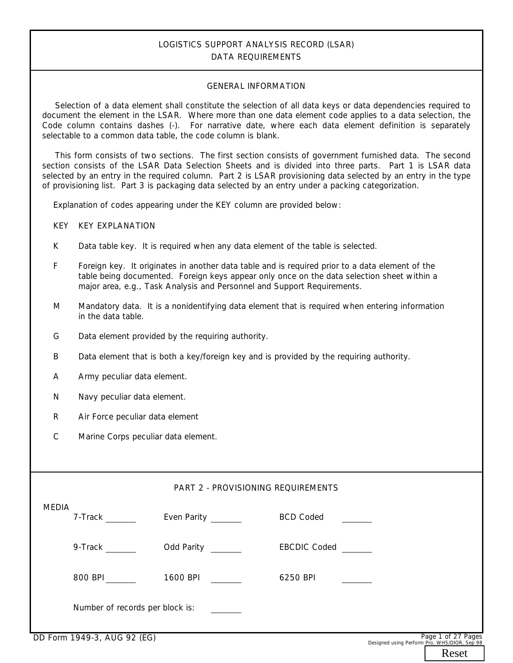# **LOGISTICS SUPPORT ANALYSIS RECORD (LSAR) DATA REQUIREMENTS**

#### **GENERAL INFORMATION**

 Selection of a data element shall constitute the selection of all data keys or data dependencies required to document the element in the LSAR. Where more than one data element code applies to a data selection, the Code column contains dashes (-). For narrative date, where each data element definition is separately selectable to a common data table, the code column is blank.

 This form consists of two sections. The first section consists of government furnished data. The second section consists of the LSAR Data Selection Sheets and is divided into three parts. Part 1 is LSAR data selected by an entry in the required column. Part 2 is LSAR provisioning data selected by an entry in the type of provisioning list. Part 3 is packaging data selected by an entry under a packing categorization.

Explanation of codes appearing under the KEY column are provided below:

KEY KEY EXPLANATION

- K Data table key. It is required when any data element of the table is selected.
- F Foreign key. It originates in another data table and is required prior to a data element of the table being documented. Foreign keys appear only once on the data selection sheet within a major area, e.g., Task Analysis and Personnel and Support Requirements.
- M Mandatory data. It is a nonidentifying data element that is required when entering information in the data table.
- G Data element provided by the requiring authority.
- B Data element that is both a key/foreign key and is provided by the requiring authority.
- A Army peculiar data element.
- N Navy peculiar data element.
- R Air Force peculiar data element
- $\overline{C}$ Marine Corps peculiar data element.

#### **PART 2 - PROVISIONING REQUIREMENTS**

| -- -         |                                 |             |                     | $D - 1$ $A - 2D - 1$ |
|--------------|---------------------------------|-------------|---------------------|----------------------|
|              | Number of records per block is: |             |                     |                      |
|              | 800 BPI                         | 1600 BPI    | 6250 BPI            |                      |
|              | 9-Track                         | Odd Parity  | <b>EBCDIC Coded</b> |                      |
| <b>MEDIA</b> | 7-Track                         | Even Parity | <b>BCD Coded</b>    |                      |

Designed using Perform Pro, WHS/DIOR, Sep 98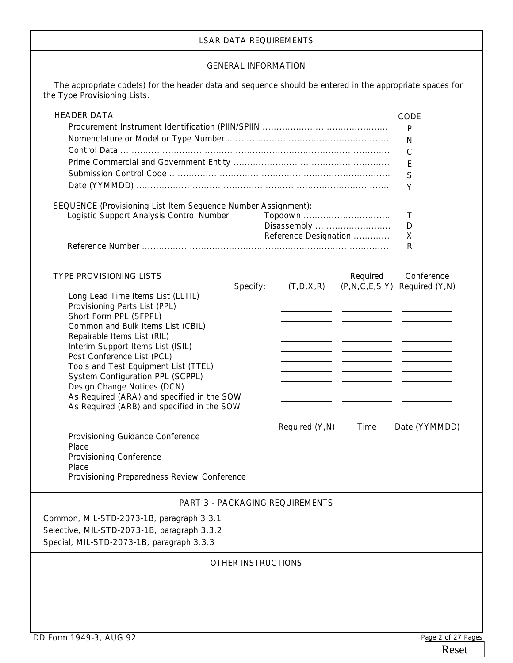# **LSAR DATA REQUIREMENTS**

### **GENERAL INFORMATION**

 The appropriate code(s) for the header data and sequence should be entered in the appropriate spaces for the Type Provisioning Lists.

| <b>HEADER DATA</b>                                                                                        |                                        |          | CODE                                   |
|-----------------------------------------------------------------------------------------------------------|----------------------------------------|----------|----------------------------------------|
|                                                                                                           | P                                      |          |                                        |
|                                                                                                           | N                                      |          |                                        |
|                                                                                                           | $\mathsf{C}$                           |          |                                        |
|                                                                                                           | E                                      |          |                                        |
|                                                                                                           | S                                      |          |                                        |
|                                                                                                           | Y                                      |          |                                        |
|                                                                                                           |                                        |          |                                        |
| SEQUENCE (Provisioning List Item Sequence Number Assignment):<br>Logistic Support Analysis Control Number | Τ                                      |          |                                        |
|                                                                                                           | Topdown<br>Disassembly                 |          | D                                      |
|                                                                                                           | Reference Designation                  |          | X                                      |
|                                                                                                           |                                        |          | R                                      |
|                                                                                                           |                                        |          |                                        |
| TYPE PROVISIONING LISTS                                                                                   |                                        | Required | Conference                             |
| Specify:                                                                                                  | (T, D, X, R)                           |          | $(P, N, C, E, S, Y)$ Required $(Y, N)$ |
| Long Lead Time Items List (LLTIL)                                                                         |                                        |          |                                        |
| Provisioning Parts List (PPL)                                                                             |                                        |          |                                        |
| Short Form PPL (SFPPL)                                                                                    |                                        |          |                                        |
| Common and Bulk Items List (CBIL)<br>Repairable Items List (RIL)                                          |                                        |          |                                        |
| Interim Support Items List (ISIL)                                                                         |                                        |          |                                        |
| Post Conference List (PCL)                                                                                |                                        |          |                                        |
| Tools and Test Equipment List (TTEL)                                                                      |                                        |          |                                        |
| System Configuration PPL (SCPPL)                                                                          |                                        |          |                                        |
| Design Change Notices (DCN)                                                                               |                                        |          |                                        |
| As Required (ARA) and specified in the SOW                                                                |                                        |          |                                        |
| As Required (ARB) and specified in the SOW                                                                |                                        |          |                                        |
|                                                                                                           | Required (Y,N)                         | Time     | Date (YYMMDD)                          |
| Provisioning Guidance Conference                                                                          |                                        |          |                                        |
| Place                                                                                                     |                                        |          |                                        |
| Provisioning Conference                                                                                   |                                        |          |                                        |
| Place<br>Provisioning Preparedness Review Conference                                                      |                                        |          |                                        |
|                                                                                                           |                                        |          |                                        |
|                                                                                                           | <b>PART 3 - PACKAGING REQUIREMENTS</b> |          |                                        |
| Common, MIL-STD-2073-1B, paragraph 3.3.1                                                                  |                                        |          |                                        |
| Selective, MIL-STD-2073-1B, paragraph 3.3.2                                                               |                                        |          |                                        |
| Special, MIL-STD-2073-1B, paragraph 3.3.3                                                                 |                                        |          |                                        |
|                                                                                                           |                                        |          |                                        |
|                                                                                                           | <b>OTHER INSTRUCTIONS</b>              |          |                                        |
|                                                                                                           |                                        |          |                                        |
|                                                                                                           |                                        |          |                                        |
|                                                                                                           |                                        |          |                                        |
|                                                                                                           |                                        |          |                                        |
|                                                                                                           |                                        |          |                                        |
| DD Form 1949-3, AUG 92                                                                                    |                                        |          | Page 2 of 27 Pages                     |